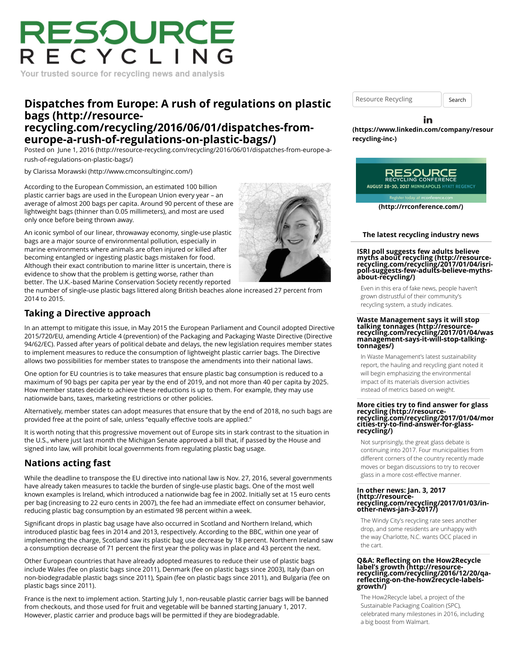# RESOURCE RECYCLING

Your trusted source for recycling news and analysis

## **[Dispatches from Europe: A rush of regulations on plastic](http://resource-recycling.com/recycling/2016/06/01/dispatches-from-europe-a-rush-of-regulations-on-plastic-bags/) bags (http://resourcerecycling.com/recycling/2016/06/01/dispatches-fromeurope-a-rush-of-regulations-on-plastic-bags/)**

Posted on [June 1, 2016 \(http://resource-recycling.com/recycling/2016/06/01/dispatches-from-europe-a](http://resource-recycling.com/recycling/2016/06/01/dispatches-from-europe-a-rush-of-regulations-on-plastic-bags/)rush-of-regulations-on-plastic-bags/)

by [Clarissa Morawski \(http://www.cmconsultinginc.com/\)](http://www.cmconsultinginc.com/)

According to the European Commission, an estimated 100 billion plastic carrier bags are used in the European Union every year – an average of almost 200 bags per capita. Around 90 percent of these are lightweight bags (thinner than 0.05 millimeters), and most are used only once before being thrown away.

An iconic symbol of our linear, throwaway economy, single-use plastic bags are a major source of environmental pollution, especially in marine environments where animals are often injured or killed after becoming entangled or ingesting plastic bags mistaken for food. Although their exact contribution to marine litter is uncertain, there is evidence to show that the problem is getting worse, rather than better. The U.K.-based Marine Conservation Society recently reported

the number of single-use plastic bags littered along British beaches alone increased 27 percent from 2014 to 2015.

### **Taking a Directive approach**

In an attempt to mitigate this issue, in May 2015 the European Parliament and Council adopted Directive 2015/720/EU, amending Article 4 (prevention) of the Packaging and Packaging Waste Directive (Directive 94/62/EC). Passed after years of political debate and delays, the new legislation requires member states to implement measures to reduce the consumption of lightweight plastic carrier bags. The Directive allows two possibilities for member states to transpose the amendments into their national laws.

One option for EU countries is to take measures that ensure plastic bag consumption is reduced to a maximum of 90 bags per capita per year by the end of 2019, and not more than 40 per capita by 2025. How member states decide to achieve these reductions is up to them. For example, they may use nationwide bans, taxes, marketing restrictions or other policies.

Alternatively, member states can adopt measures that ensure that by the end of 2018, no such bags are provided free at the point of sale, unless "equally effective tools are applied."

It is worth noting that this progressive movement out of Europe sits in stark contrast to the situation in the U.S., where just last month the Michigan Senate approved a bill that, if passed by the House and signed into law, will prohibit local governments from regulating plastic bag usage.

# **Nations acting fast**

While the deadline to transpose the EU directive into national law is Nov. 27, 2016, several governments have already taken measures to tackle the burden of single-use plastic bags. One of the most well known examples is Ireland, which introduced a nationwide bag fee in 2002. Initially set at 15 euro cents per bag (increasing to 22 euro cents in 2007), the fee had an immediate effect on consumer behavior, reducing plastic bag consumption by an estimated 98 percent within a week.

Significant drops in plastic bag usage have also occurred in Scotland and Northern Ireland, which introduced plastic bag fees in 2014 and 2013, respectively. According to the BBC, within one year of implementing the charge, Scotland saw its plastic bag use decrease by 18 percent. Northern Ireland saw a consumption decrease of 71 percent the first year the policy was in place and 43 percent the next.

Other European countries that have already adopted measures to reduce their use of plastic bags include Wales (fee on plastic bags since 2011), Denmark (fee on plastic bags since 2003), Italy (ban on non-biodegradable plastic bags since 2011), Spain (fee on plastic bags since 2011), and Bulgaria (fee on plastic bags since 2011).

France is the next to implement action. Starting July 1, non-reusable plastic carrier bags will be banned from checkouts, and those used for fruit and vegetable will be banned starting January 1, 2017. However, plastic carrier and produce bags will be permitted if they are biodegradable.

Resource Recycling **Search** 

in

**[\(https://www.linkedin.com/company/resour](https://www.linkedin.com/company/resource-recycling-inc-)cerecycling-inc-)**



**[\(http://rrconference.com/\)](http://rrconference.com/)**

#### **The latest recycling industry news**

**ISRI poll suggests few adults believe myths about recycling (http://resource- [recycling.com/recycling/2017/01/04/isri-](http://resource-recycling.com/recycling/2017/01/04/isri-poll-suggests-few-adults-believe-myths-about-recycling/)poll-suggests-few-adults-believe-mythsabout-recycling/)**

Even in this era of fake news, people haven't grown distrustful of their community's recycling system, a study indicates.

### **Waste Management says it will stop talking tonnages (http://resource- [recycling.com/recycling/2017/01/04/was](http://resource-recycling.com/recycling/2017/01/04/waste-management-says-it-will-stop-talking-tonnages/)te-management-says-it-will-stop-talkingtonnages/)**

In Waste Management's latest sustainability report, the hauling and recycling giant noted it will begin emphasizing the environmental impact of its materials diversion activities instead of metrics based on weight.

# **More cities try to find answer for glass recycling (http://resource- [recycling.com/recycling/2017/01/04/mor](http://resource-recycling.com/recycling/2017/01/04/more-cities-try-to-find-answer-for-glass-recycling/)ecities-try-to-find-answer-for-glass- recycling/)**

Not surprisingly, the great glass debate is continuing into 2017. Four municipalities from different corners of the country recently made moves or began discussions to try to recover glass in a more cost-effective manner.

### **In other news: Jan. 3, 2017 (http://resource[recycling.com/recycling/2017/01/03/in-](http://resource-recycling.com/recycling/2017/01/03/in-other-news-jan-3-2017/)other-news-jan-3-2017/)**

The Windy City's recycling rate sees another drop, and some residents are unhappy with the way Charlotte, N.C. wants OCC placed in the cart.

# **Q&A: Reflecting on the How2Recycle label's growth (http://resource- [recycling.com/recycling/2016/12/20/qa](http://resource-recycling.com/recycling/2016/12/20/qa-reflecting-on-the-how2recycle-labels-growth/)reflecting-on-the-how2recycle-labels- growth/)**

The How2Recycle label, a project of the Sustainable Packaging Coalition (SPC), celebrated many milestones in 2016, including a big boost from Walmart.